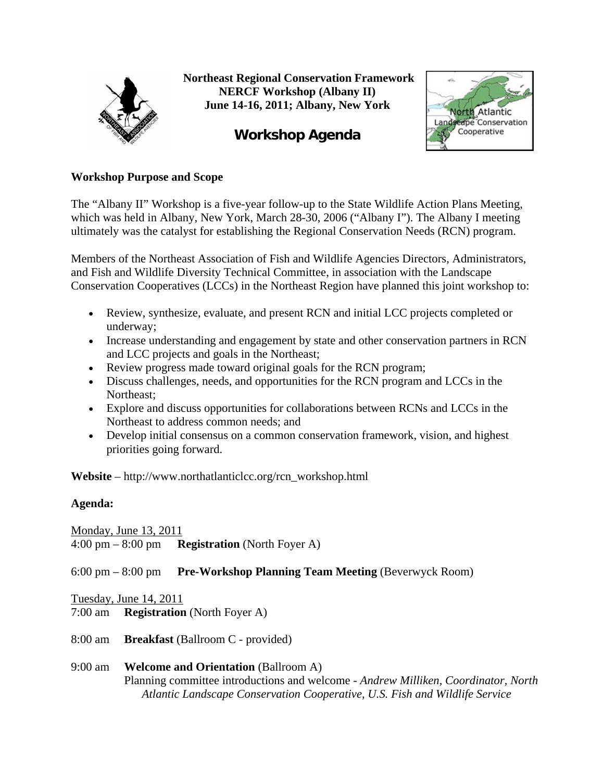

 **Northeast Regional Conservation Framework NERCF Workshop (Albany II) June 14-16, 2011; Albany, New York** 

# **Workshop Agenda**



## **Workshop Purpose and Scope**

The "Albany II" Workshop is a five-year follow-up to the State Wildlife Action Plans Meeting, which was held in Albany, New York, March 28-30, 2006 ("Albany I"). The Albany I meeting ultimately was the catalyst for establishing the Regional Conservation Needs (RCN) program.

Members of the Northeast Association of Fish and Wildlife Agencies Directors, Administrators, and Fish and Wildlife Diversity Technical Committee, in association with the Landscape Conservation Cooperatives (LCCs) in the Northeast Region have planned this joint workshop to:

- Review, synthesize, evaluate, and present RCN and initial LCC projects completed or underway;
- Increase understanding and engagement by state and other conservation partners in RCN and LCC projects and goals in the Northeast;
- Review progress made toward original goals for the RCN program;
- Discuss challenges, needs, and opportunities for the RCN program and LCCs in the Northeast;
- Explore and discuss opportunities for collaborations between RCNs and LCCs in the Northeast to address common needs; and
- Develop initial consensus on a common conservation framework, vision, and highest priorities going forward.

**Website** – http://www.northatlanticlcc.org/rcn\_workshop.html

# **Agenda:**

Monday, June 13, 2011 4:00 pm – 8:00 pm **Registration** (North Foyer A)

6:00 pm – 8:00 pm **Pre-Workshop Planning Team Meeting** (Beverwyck Room)

Tuesday, June 14, 2011 7:00 am **Registration** (North Foyer A)

- 8:00 am **Breakfast** (Ballroom C provided)
- 9:00 am **Welcome and Orientation** (Ballroom A) Planning committee introductions and welcome *- Andrew Milliken, Coordinator, North Atlantic Landscape Conservation Cooperative, U.S. Fish and Wildlife Service*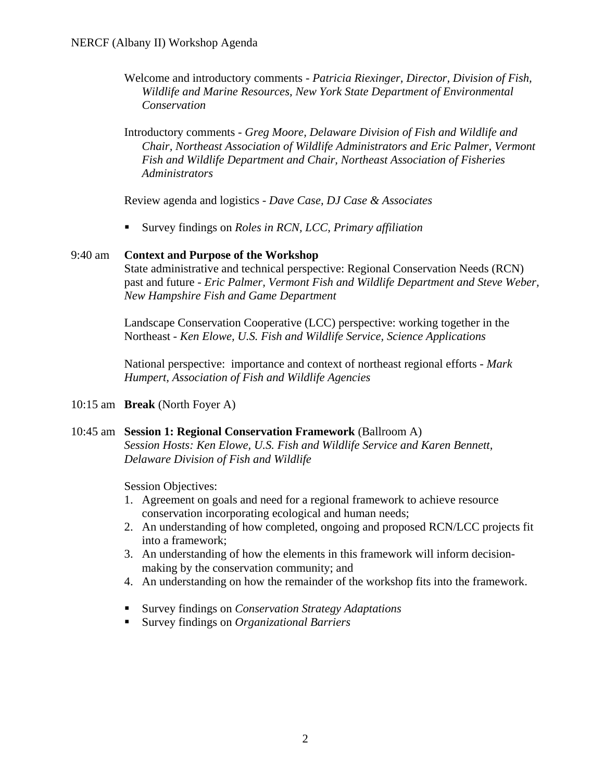Welcome and introductory comments *- Patricia Riexinger, Director, Division of Fish, Wildlife and Marine Resources, New York State Department of Environmental Conservation* 

Introductory comments - *Greg Moore, Delaware Division of Fish and Wildlife and Chair, Northeast Association of Wildlife Administrators and Eric Palmer, Vermont Fish and Wildlife Department and Chair, Northeast Association of Fisheries Administrators* 

Review agenda and logistics *- Dave Case, DJ Case & Associates* 

Survey findings on *Roles in RCN, LCC, Primary affiliation*

#### 9:40 am **Context and Purpose of the Workshop**

 State administrative and technical perspective: Regional Conservation Needs (RCN) past and future *- Eric Palmer, Vermont Fish and Wildlife Department and Steve Weber, New Hampshire Fish and Game Department* 

 Landscape Conservation Cooperative (LCC) perspective: working together in the Northeast *- Ken Elowe, U.S. Fish and Wildlife Service, Science Applications* 

 National perspective: importance and context of northeast regional efforts *- Mark Humpert, Association of Fish and Wildlife Agencies* 

10:15 am **Break** (North Foyer A)

#### 10:45 am **Session 1: Regional Conservation Framework** (Ballroom A)

*Session Hosts: Ken Elowe, U.S. Fish and Wildlife Service and Karen Bennett, Delaware Division of Fish and Wildlife* 

Session Objectives:

- 1. Agreement on goals and need for a regional framework to achieve resource conservation incorporating ecological and human needs;
- 2. An understanding of how completed, ongoing and proposed RCN/LCC projects fit into a framework;
- 3. An understanding of how the elements in this framework will inform decisionmaking by the conservation community; and
- 4. An understanding on how the remainder of the workshop fits into the framework.
- Survey findings on *Conservation Strategy Adaptations*
- Survey findings on *Organizational Barriers*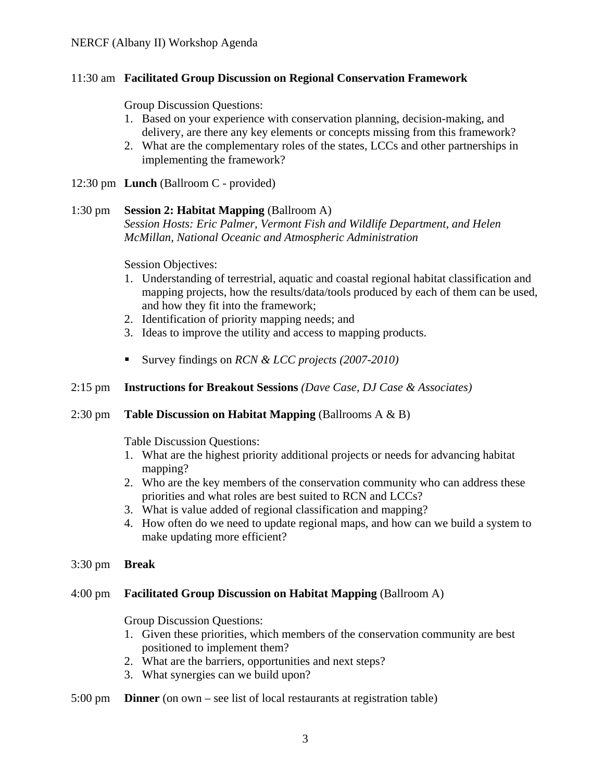## 11:30 am **Facilitated Group Discussion on Regional Conservation Framework**

Group Discussion Questions:

- 1. Based on your experience with conservation planning, decision-making, and delivery, are there any key elements or concepts missing from this framework?
- 2. What are the complementary roles of the states, LCCs and other partnerships in implementing the framework?
- 12:30 pm **Lunch** (Ballroom C provided)

## 1:30 pm **Session 2: Habitat Mapping** (Ballroom A)

*Session Hosts: Eric Palmer, Vermont Fish and Wildlife Department, and Helen McMillan, National Oceanic and Atmospheric Administration* 

Session Objectives:

- 1. Understanding of terrestrial, aquatic and coastal regional habitat classification and mapping projects, how the results/data/tools produced by each of them can be used, and how they fit into the framework;
- 2. Identification of priority mapping needs; and
- 3. Ideas to improve the utility and access to mapping products.
- Survey findings on *RCN & LCC projects (2007-2010)*

## 2:15 pm **Instructions for Breakout Sessions** *(Dave Case, DJ Case & Associates)*

#### 2:30 pm **Table Discussion on Habitat Mapping** (Ballrooms A & B)

Table Discussion Questions:

- 1. What are the highest priority additional projects or needs for advancing habitat mapping?
- 2. Who are the key members of the conservation community who can address these priorities and what roles are best suited to RCN and LCCs?
- 3. What is value added of regional classification and mapping?
- 4. How often do we need to update regional maps, and how can we build a system to make updating more efficient?
- 3:30 pm **Break**

#### 4:00 pm **Facilitated Group Discussion on Habitat Mapping** (Ballroom A)

Group Discussion Questions:

- 1. Given these priorities, which members of the conservation community are best positioned to implement them?
- 2. What are the barriers, opportunities and next steps?
- 3. What synergies can we build upon?
- 5:00 pm **Dinner** (on own see list of local restaurants at registration table)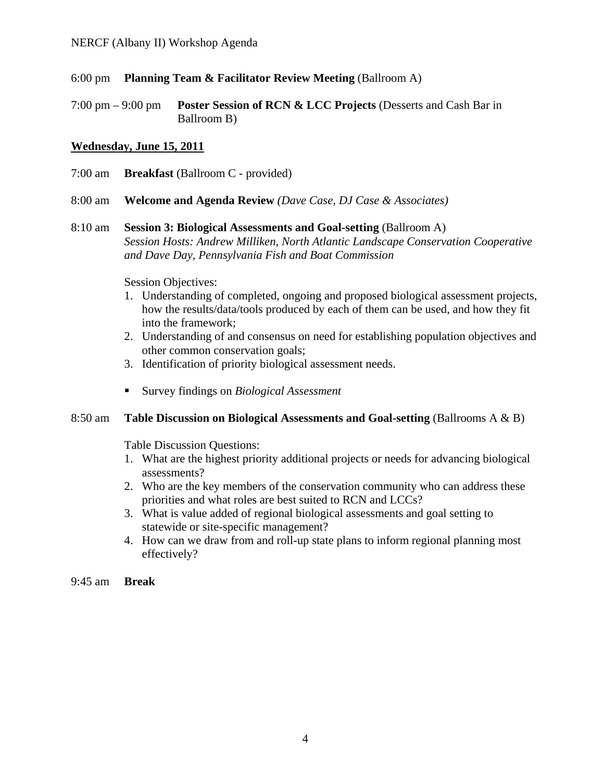- 6:00 pm **Planning Team & Facilitator Review Meeting** (Ballroom A)
- 7:00 pm 9:00 pm **Poster Session of RCN & LCC Projects** (Desserts and Cash Bar in Ballroom B)

## **Wednesday, June 15, 2011**

- 7:00 am **Breakfast** (Ballroom C provided)
- 8:00 am **Welcome and Agenda Review** *(Dave Case, DJ Case & Associates)*
- 8:10 am **Session 3: Biological Assessments and Goal-setting** (Ballroom A) *Session Hosts: Andrew Milliken, North Atlantic Landscape Conservation Cooperative and Dave Day, Pennsylvania Fish and Boat Commission*

Session Objectives:

- 1. Understanding of completed, ongoing and proposed biological assessment projects, how the results/data/tools produced by each of them can be used, and how they fit into the framework;
- 2. Understanding of and consensus on need for establishing population objectives and other common conservation goals;
- 3. Identification of priority biological assessment needs.
- Survey findings on *Biological Assessment*

## 8:50 am **Table Discussion on Biological Assessments and Goal-setting** (Ballrooms A & B)

Table Discussion Questions:

- 1. What are the highest priority additional projects or needs for advancing biological assessments?
- 2. Who are the key members of the conservation community who can address these priorities and what roles are best suited to RCN and LCCs?
- 3. What is value added of regional biological assessments and goal setting to statewide or site-specific management?
- 4. How can we draw from and roll-up state plans to inform regional planning most effectively?

9:45 am **Break**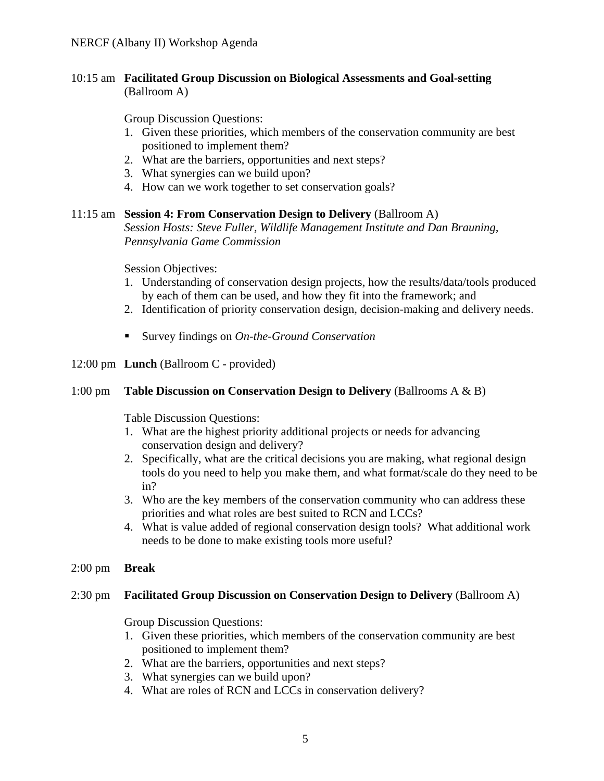## 10:15 am **Facilitated Group Discussion on Biological Assessments and Goal-setting**  (Ballroom A)

Group Discussion Questions:

- 1. Given these priorities, which members of the conservation community are best positioned to implement them?
- 2. What are the barriers, opportunities and next steps?
- 3. What synergies can we build upon?
- 4. How can we work together to set conservation goals?

#### 11:15 am **Session 4: From Conservation Design to Delivery** (Ballroom A)

*Session Hosts: Steve Fuller, Wildlife Management Institute and Dan Brauning, Pennsylvania Game Commission* 

Session Objectives:

- 1. Understanding of conservation design projects, how the results/data/tools produced by each of them can be used, and how they fit into the framework; and
- 2. Identification of priority conservation design, decision-making and delivery needs.
- Survey findings on *On-the-Ground Conservation*
- 12:00 pm **Lunch** (Ballroom C provided)

## 1:00 pm **Table Discussion on Conservation Design to Delivery** (Ballrooms A & B)

Table Discussion Questions:

- 1. What are the highest priority additional projects or needs for advancing conservation design and delivery?
- 2. Specifically, what are the critical decisions you are making, what regional design tools do you need to help you make them, and what format/scale do they need to be in?
- 3. Who are the key members of the conservation community who can address these priorities and what roles are best suited to RCN and LCCs?
- 4. What is value added of regional conservation design tools? What additional work needs to be done to make existing tools more useful?
- 2:00 pm **Break**

#### 2:30 pm **Facilitated Group Discussion on Conservation Design to Delivery** (Ballroom A)

Group Discussion Questions:

- 1. Given these priorities, which members of the conservation community are best positioned to implement them?
- 2. What are the barriers, opportunities and next steps?
- 3. What synergies can we build upon?
- 4. What are roles of RCN and LCCs in conservation delivery?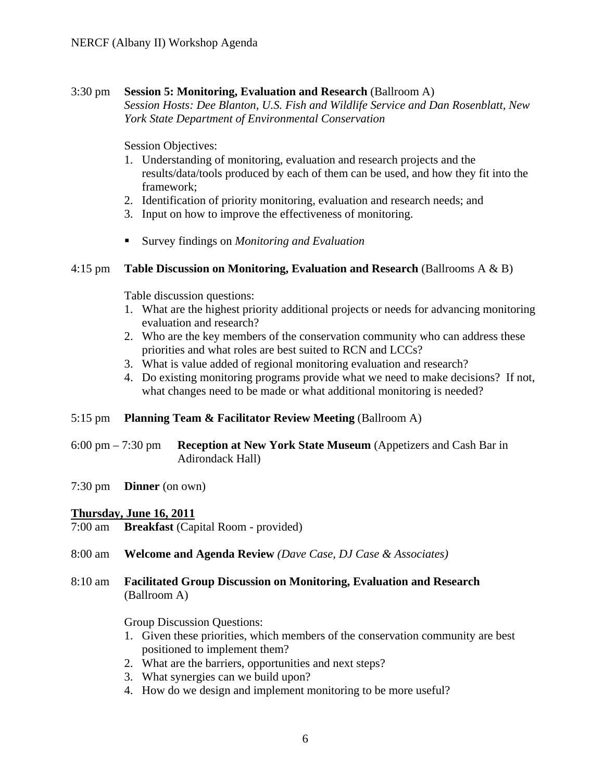### 3:30 pm **Session 5: Monitoring, Evaluation and Research** (Ballroom A)

*Session Hosts: Dee Blanton, U.S. Fish and Wildlife Service and Dan Rosenblatt, New York State Department of Environmental Conservation* 

Session Objectives:

- 1. Understanding of monitoring, evaluation and research projects and the results/data/tools produced by each of them can be used, and how they fit into the framework;
- 2. Identification of priority monitoring, evaluation and research needs; and
- 3. Input on how to improve the effectiveness of monitoring.
- Survey findings on *Monitoring and Evaluation*

## 4:15 pm **Table Discussion on Monitoring, Evaluation and Research** (Ballrooms A & B)

Table discussion questions:

- 1. What are the highest priority additional projects or needs for advancing monitoring evaluation and research?
- 2. Who are the key members of the conservation community who can address these priorities and what roles are best suited to RCN and LCCs?
- 3. What is value added of regional monitoring evaluation and research?
- 4. Do existing monitoring programs provide what we need to make decisions? If not, what changes need to be made or what additional monitoring is needed?

#### 5:15 pm **Planning Team & Facilitator Review Meeting** (Ballroom A)

- 6:00 pm 7:30 pm **Reception at New York State Museum** (Appetizers and Cash Bar in Adirondack Hall)
- 7:30 pm **Dinner** (on own)

#### **Thursday, June 16, 2011**

- 7:00 am **Breakfast** (Capital Room provided)
- 8:00 am **Welcome and Agenda Review** *(Dave Case, DJ Case & Associates)*
- 8:10 am **Facilitated Group Discussion on Monitoring, Evaluation and Research**  (Ballroom A)

#### Group Discussion Questions:

- 1. Given these priorities, which members of the conservation community are best positioned to implement them?
- 2. What are the barriers, opportunities and next steps?
- 3. What synergies can we build upon?
- 4. How do we design and implement monitoring to be more useful?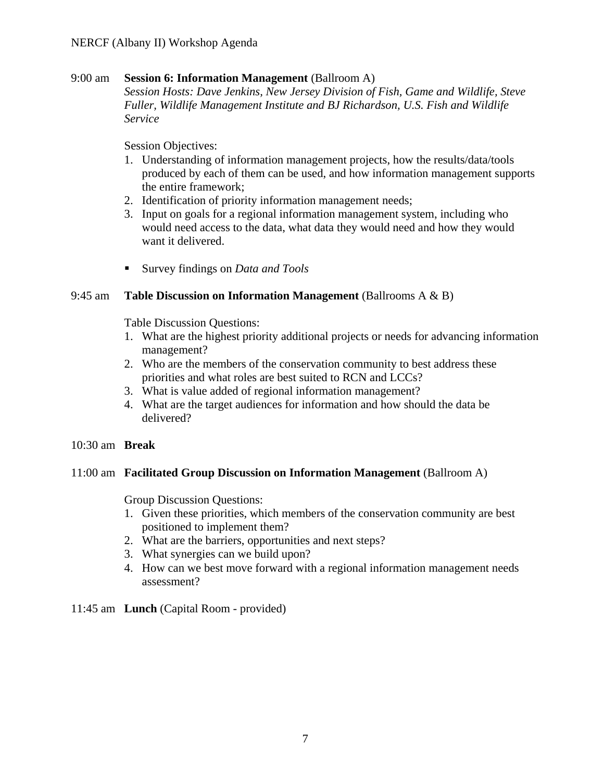## 9:00 am **Session 6: Information Management** (Ballroom A)

*Session Hosts: Dave Jenkins, New Jersey Division of Fish, Game and Wildlife, Steve Fuller, Wildlife Management Institute and BJ Richardson, U.S. Fish and Wildlife Service* 

Session Objectives:

- 1. Understanding of information management projects, how the results/data/tools produced by each of them can be used, and how information management supports the entire framework;
- 2. Identification of priority information management needs;
- 3. Input on goals for a regional information management system, including who would need access to the data, what data they would need and how they would want it delivered.
- Survey findings on *Data and Tools*

## 9:45 am **Table Discussion on Information Management** (Ballrooms A & B)

Table Discussion Questions:

- 1. What are the highest priority additional projects or needs for advancing information management?
- 2. Who are the members of the conservation community to best address these priorities and what roles are best suited to RCN and LCCs?
- 3. What is value added of regional information management?
- 4. What are the target audiences for information and how should the data be delivered?
- 10:30 am **Break**

#### 11:00 am **Facilitated Group Discussion on Information Management** (Ballroom A)

Group Discussion Questions:

- 1. Given these priorities, which members of the conservation community are best positioned to implement them?
- 2. What are the barriers, opportunities and next steps?
- 3. What synergies can we build upon?
- 4. How can we best move forward with a regional information management needs assessment?

#### 11:45 am **Lunch** (Capital Room - provided)